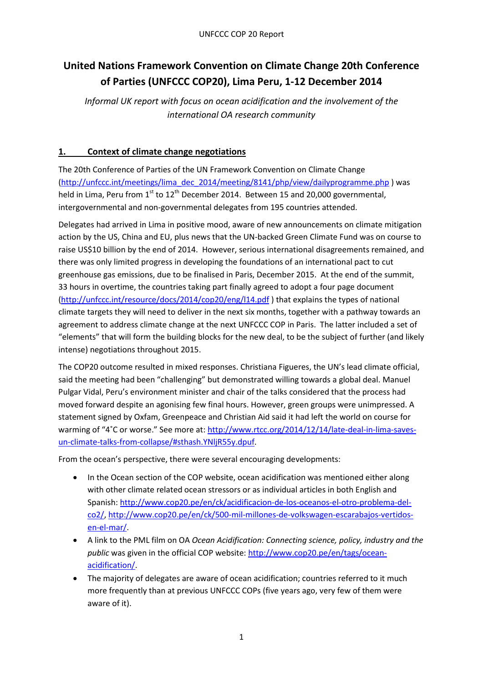# **United Nations Framework Convention on Climate Change 20th Conference of Parties (UNFCCC COP20), Lima Peru, 1-12 December 2014**

*Informal UK report with focus on ocean acidification and the involvement of the international OA research community* 

### **1. Context of climate change negotiations**

The 20th Conference of Parties of the UN Framework Convention on Climate Change [\(http://unfccc.int/meetings/lima\\_dec\\_2014/meeting/8141/php/view/dailyprogramme.php](http://unfccc.int/meetings/lima_dec_2014/meeting/8141/php/view/dailyprogramme.php) ) was held in Lima, Peru from  $1<sup>st</sup>$  to  $12<sup>th</sup>$  December 2014. Between 15 and 20,000 governmental, intergovernmental and non-governmental delegates from 195 countries attended.

Delegates had arrived in Lima in positive mood, aware of new announcements on climate mitigation action by the US, China and EU, plus news that the UN-backed Green Climate Fund was on course to raise US\$10 billion by the end of 2014. However, serious international disagreements remained, and there was only limited progress in developing the foundations of an international pact to cut greenhouse gas emissions, due to be finalised in Paris, December 2015. At the end of the summit, 33 hours in overtime, the countries taking part finally agreed to adopt a four page document [\(http://unfccc.int/resource/docs/2014/cop20/eng/l14.pdf](http://unfccc.int/resource/docs/2014/cop20/eng/l14.pdf) ) that explains the types of national climate targets they will need to deliver in the next six months, together with a pathway towards an agreement to address climate change at the next UNFCCC COP in Paris. The latter included a set of "elements" that will form the building blocks for the new deal, to be the subject of further (and likely intense) negotiations throughout 2015.

The COP20 outcome resulted in mixed responses. Christiana Figueres, the UN's lead climate official, said the meeting had been "challenging" but demonstrated willing towards a global deal. Manuel Pulgar Vidal, Peru's environment minister and chair of the talks considered that the process had moved forward despite an agonising few final hours. However, green groups were unimpressed. A statement signed by Oxfam, Greenpeace and Christian Aid said it had left the world on course for warming of "4°C or worse." See more at: [http://www.rtcc.org/2014/12/14/late-deal-in-lima-saves](http://www.rtcc.org/2014/12/14/late-deal-in-lima-saves-un-climate-talks-from-collapse/#sthash.YNljR55y.dpuf)[un-climate-talks-from-collapse/#sthash.YNljR55y.dpuf.](http://www.rtcc.org/2014/12/14/late-deal-in-lima-saves-un-climate-talks-from-collapse/#sthash.YNljR55y.dpuf)

From the ocean's perspective, there were several encouraging developments:

- In the Ocean section of the COP website, ocean acidification was mentioned either along with other climate related ocean stressors or as individual articles in both English and Spanish: [http://www.cop20.pe/en/ck/acidificacion-de-los-oceanos-el-otro-problema-del](http://www.cop20.pe/en/ck/acidificacion-de-los-oceanos-el-otro-problema-del-co2/)[co2/,](http://www.cop20.pe/en/ck/acidificacion-de-los-oceanos-el-otro-problema-del-co2/) [http://www.cop20.pe/en/ck/500-mil-millones-de-volkswagen-escarabajos-vertidos](http://www.cop20.pe/en/ck/500-mil-millones-de-volkswagen-escarabajos-vertidos-en-el-mar/)[en-el-mar/.](http://www.cop20.pe/en/ck/500-mil-millones-de-volkswagen-escarabajos-vertidos-en-el-mar/)
- A link to the PML film on OA *Ocean Acidification: Connecting science, policy, industry and the public* was given in the official COP website: [http://www.cop20.pe/en/tags/ocean](http://www.cop20.pe/en/tags/ocean-acidification/)[acidification/.](http://www.cop20.pe/en/tags/ocean-acidification/)
- The majority of delegates are aware of ocean acidification; countries referred to it much more frequently than at previous UNFCCC COPs (five years ago, very few of them were aware of it).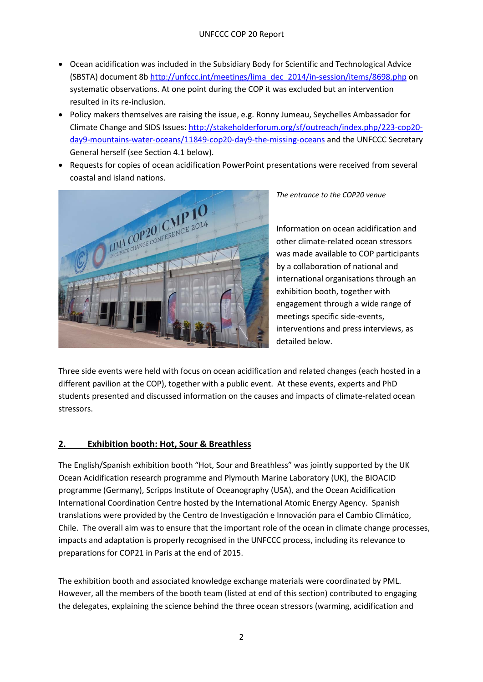- Ocean acidification was included in the Subsidiary Body for Scientific and Technological Advice (SBSTA) document 8b [http://unfccc.int/meetings/lima\\_dec\\_2014/in-session/items/8698.php](http://unfccc.int/meetings/lima_dec_2014/in-session/items/8698.php) on systematic observations. At one point during the COP it was excluded but an intervention resulted in its re-inclusion.
- Policy makers themselves are raising the issue, e.g. Ronny Jumeau, Seychelles Ambassador for Climate Change and SIDS Issues[: http://stakeholderforum.org/sf/outreach/index.php/223-cop20](http://stakeholderforum.org/sf/outreach/index.php/223-cop20-day9-mountains-water-oceans/11849-cop20-day9-the-missing-oceans) [day9-mountains-water-oceans/11849-cop20-day9-the-missing-oceans](http://stakeholderforum.org/sf/outreach/index.php/223-cop20-day9-mountains-water-oceans/11849-cop20-day9-the-missing-oceans) and the UNFCCC Secretary General herself (see Section 4.1 below).
- Requests for copies of ocean acidification PowerPoint presentations were received from several coastal and island nations.



*The entrance to the COP20 venue*

Information on ocean acidification and other climate-related ocean stressors was made available to COP participants by a collaboration of national and international organisations through an exhibition booth, together with engagement through a wide range of meetings specific side-events, interventions and press interviews, as detailed below.

Three side events were held with focus on ocean acidification and related changes (each hosted in a different pavilion at the COP), together with a public event. At these events, experts and PhD students presented and discussed information on the causes and impacts of climate-related ocean stressors.

### **2. Exhibition booth: Hot, Sour & Breathless**

The English/Spanish exhibition booth "Hot, Sour and Breathless" was jointly supported by the UK Ocean Acidification research programme and Plymouth Marine Laboratory (UK), the BIOACID programme (Germany), Scripps Institute of Oceanography (USA), and the Ocean Acidification International Coordination Centre hosted by the International Atomic Energy Agency. Spanish translations were provided by the Centro de Investigación e Innovación para el Cambio Climático, Chile. The overall aim was to ensure that the important role of the ocean in climate change processes, impacts and adaptation is properly recognised in the UNFCCC process, including its relevance to preparations for COP21 in Paris at the end of 2015.

The exhibition booth and associated knowledge exchange materials were coordinated by PML. However, all the members of the booth team (listed at end of this section) contributed to engaging the delegates, explaining the science behind the three ocean stressors (warming, acidification and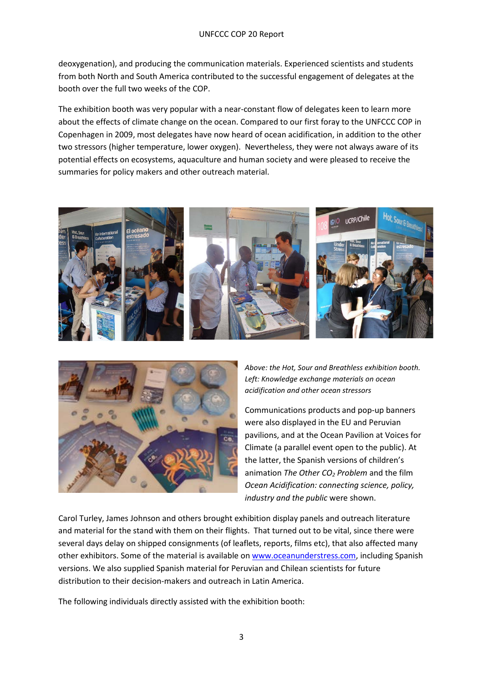deoxygenation), and producing the communication materials. Experienced scientists and students from both North and South America contributed to the successful engagement of delegates at the booth over the full two weeks of the COP.

The exhibition booth was very popular with a near-constant flow of delegates keen to learn more about the effects of climate change on the ocean. Compared to our first foray to the UNFCCC COP in Copenhagen in 2009, most delegates have now heard of ocean acidification, in addition to the other two stressors (higher temperature, lower oxygen). Nevertheless, they were not always aware of its potential effects on ecosystems, aquaculture and human society and were pleased to receive the summaries for policy makers and other outreach material.





*Above: the Hot, Sour and Breathless exhibition booth. Left: Knowledge exchange materials on ocean acidification and other ocean stressors*

Communications products and pop-up banners were also displayed in the EU and Peruvian pavilions, and at the Ocean Pavilion at Voices for Climate (a parallel event open to the public). At the latter, the Spanish versions of children's animation *The Other CO<sub>2</sub> Problem* and the film *Ocean Acidification: connecting science, policy, industry and the public* were shown.

Carol Turley, James Johnson and others brought exhibition display panels and outreach literature and material for the stand with them on their flights. That turned out to be vital, since there were several days delay on shipped consignments (of leaflets, reports, films etc), that also affected many other exhibitors. Some of the material is available on [www.oceanunderstress.com,](http://www.oceanunderstress.com/) including Spanish versions. We also supplied Spanish material for Peruvian and Chilean scientists for future distribution to their decision-makers and outreach in Latin America.

The following individuals directly assisted with the exhibition booth: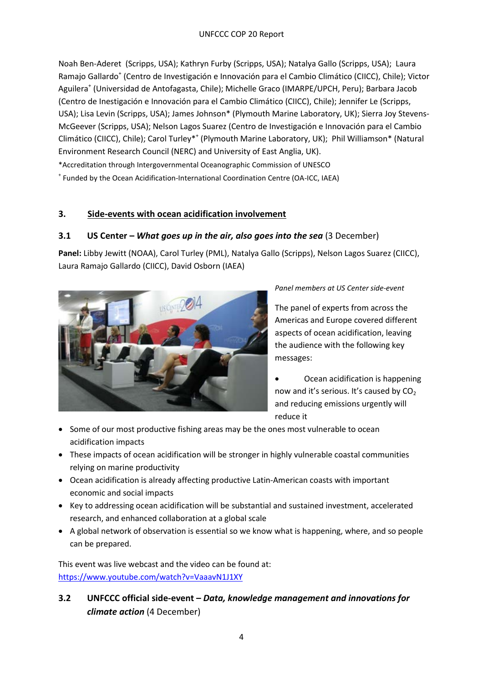Noah Ben-Aderet (Scripps, USA); Kathryn Furby (Scripps, USA); Natalya Gallo (Scripps, USA); Laura Ramajo Gallardo<sup>+</sup> (Centro de Investigación e Innovación para el Cambio Climático (CIICC), Chile); Victor Aguilera<sup>+</sup> (Universidad de Antofagasta, Chile); Michelle Graco (IMARPE/UPCH, Peru); Barbara Jacob (Centro de Inestigación e Innovación para el Cambio Climático (CIICC), Chile); Jennifer Le (Scripps, USA); Lisa Levin (Scripps, USA); James Johnson\* (Plymouth Marine Laboratory, UK); Sierra Joy Stevens-McGeever (Scripps, USA); Nelson Lagos Suarez (Centro de Investigación e Innovación para el Cambio Climático (CIICC), Chile); Carol Turley\*<sup>+</sup> (Plymouth Marine Laboratory, UK); Phil Williamson\* (Natural Environment Research Council (NERC) and University of East Anglia, UK). \*Accreditation through Intergovernmental Oceanographic Commission of UNESCO

<sup>+</sup> Funded by the Ocean Acidification-International Coordination Centre (OA-ICC, IAEA)

### **3. Side-events with ocean acidification involvement**

### **3.1 US Center –** *What goes up in the air, also goes into the sea* (3 December)

**Panel:** Libby Jewitt (NOAA), Carol Turley (PML), Natalya Gallo (Scripps), Nelson Lagos Suarez (CIICC), Laura Ramajo Gallardo (CIICC), David Osborn (IAEA)



*Panel members at US Center side-event*

The panel of experts from across the Americas and Europe covered different aspects of ocean acidification, leaving the audience with the following key messages:

- Ocean acidification is happening now and it's serious. It's caused by  $CO<sub>2</sub>$ and reducing emissions urgently will reduce it
- Some of our most productive fishing areas may be the ones most vulnerable to ocean acidification impacts
- These impacts of ocean acidification will be stronger in highly vulnerable coastal communities relying on marine productivity
- Ocean acidification is already affecting productive Latin-American coasts with important economic and social impacts
- Key to addressing ocean acidification will be substantial and sustained investment, accelerated research, and enhanced collaboration at a global scale
- A global network of observation is essential so we know what is happening, where, and so people can be prepared.

This event was live webcast and the video can be found at: <https://www.youtube.com/watch?v=VaaavN1J1XY>

**3.2 UNFCCC official side-event –** *Data, knowledge management and innovations for climate action* (4 December)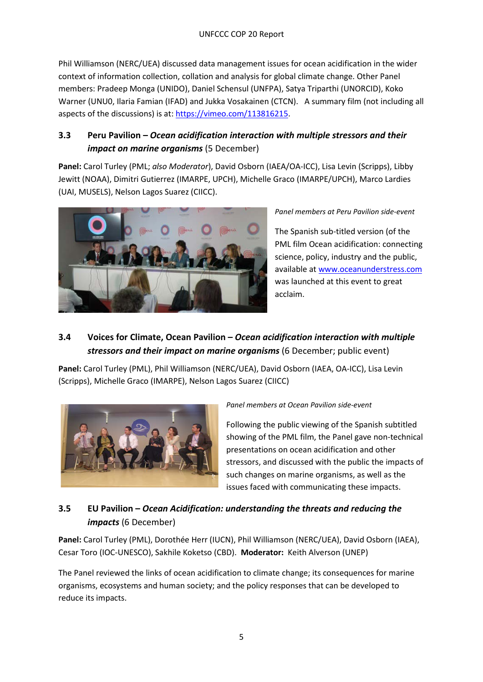Phil Williamson (NERC/UEA) discussed data management issues for ocean acidification in the wider context of information collection, collation and analysis for global climate change. Other Panel members: Pradeep Monga (UNIDO), Daniel Schensul (UNFPA), Satya Triparthi (UNORCID), Koko Warner (UNU0, Ilaria Famian (IFAD) and Jukka Vosakainen (CTCN). A summary film (not including all aspects of the discussions) is at: [https://vimeo.com/113816215.](https://vimeo.com/113816215)

### **3.3 Peru Pavilion –** *Ocean acidification interaction with multiple stressors and their impact on marine organisms* (5 December)

**Panel:** Carol Turley (PML; *also Moderator*), David Osborn (IAEA/OA-ICC), Lisa Levin (Scripps), Libby Jewitt (NOAA), Dimitri Gutierrez (IMARPE, UPCH), Michelle Graco (IMARPE/UPCH), Marco Lardies (UAI, MUSELS), Nelson Lagos Suarez (CIICC).



*Panel members at Peru Pavilion side-event*

The Spanish sub-titled version (of the PML film Ocean acidification: connecting science, policy, industry and the public, available a[t www.oceanunderstress.com](http://www.oceanunderstress.com/)  was launched at this event to great acclaim.

# **3.4 Voices for Climate, Ocean Pavilion –** *Ocean acidification interaction with multiple stressors and their impact on marine organisms* (6 December; public event)

**Panel:** Carol Turley (PML), Phil Williamson (NERC/UEA), David Osborn (IAEA, OA-ICC), Lisa Levin (Scripps), Michelle Graco (IMARPE), Nelson Lagos Suarez (CIICC)



*Panel members at Ocean Pavilion side-event*

Following the public viewing of the Spanish subtitled showing of the PML film, the Panel gave non-technical presentations on ocean acidification and other stressors, and discussed with the public the impacts of such changes on marine organisms, as well as the issues faced with communicating these impacts.

## **3.5 EU Pavilion –** *Ocean Acidification: understanding the threats and reducing the impacts* (6 December)

**Panel:** Carol Turley (PML), Dorothée Herr (IUCN), Phil Williamson (NERC/UEA), David Osborn (IAEA), Cesar Toro (IOC-UNESCO), Sakhile Koketso (CBD). **Moderator:** Keith Alverson (UNEP)

The Panel reviewed the links of ocean acidification to climate change; its consequences for marine organisms, ecosystems and human society; and the policy responses that can be developed to reduce its impacts.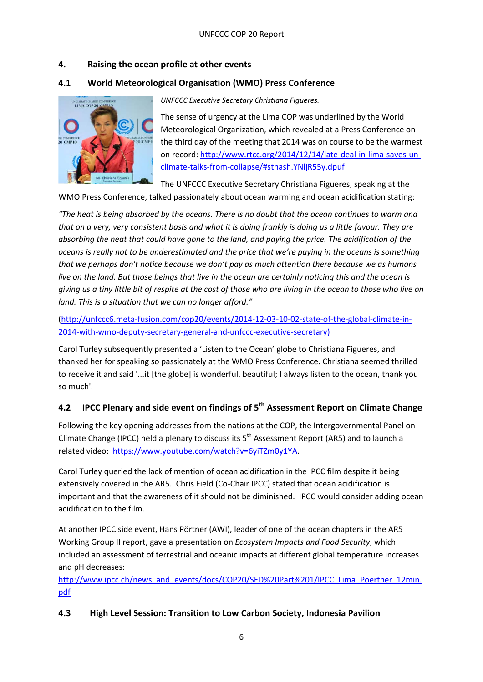### **4. Raising the ocean profile at other events**

### **4.1 World Meteorological Organisation (WMO) Press Conference**



*UNFCCC Executive Secretary Christiana Figueres.*

The sense of urgency at the Lima COP was underlined by the World Meteorological Organization, which revealed at a Press Conference on the third day of the meeting that 2014 was on course to be the warmest on record: [http://www.rtcc.org/2014/12/14/late-deal-in-lima-saves-un](http://www.rtcc.org/2014/12/14/late-deal-in-lima-saves-un-climate-talks-from-collapse/#sthash.YNljR55y.dpuf)[climate-talks-from-collapse/#sthash.YNljR55y.dpuf](http://www.rtcc.org/2014/12/14/late-deal-in-lima-saves-un-climate-talks-from-collapse/#sthash.YNljR55y.dpuf)

The UNFCCC Executive Secretary Christiana Figueres, speaking at the WMO Press Conference, talked passionately about ocean warming and ocean acidification stating:

*"The heat is being absorbed by the oceans. There is no doubt that the ocean continues to warm and that on a very, very consistent basis and what it is doing frankly is doing us a little favour. They are absorbing the heat that could have gone to the land, and paying the price. The acidification of the oceans is really not to be underestimated and the price that we're paying in the oceans is something that we perhaps don't notice because we don't pay as much attention there because we as humans live on the land. But those beings that live in the ocean are certainly noticing this and the ocean is giving us a tiny little bit of respite at the cost of those who are living in the ocean to those who live on land. This is a situation that we can no longer afford."*

[\(http://unfccc6.meta-fusion.com/cop20/events/2014-12-03-10-02-state-of-the-global-climate-in-](http://unfccc6.meta-fusion.com/cop20/events/2014-12-03-10-02-state-of-the-global-climate-in-2014-with-wmo-deputy-secretary-general-and-unfccc-executive-secretary)[2014-with-wmo-deputy-secretary-general-and-unfccc-executive-secretary\)](http://unfccc6.meta-fusion.com/cop20/events/2014-12-03-10-02-state-of-the-global-climate-in-2014-with-wmo-deputy-secretary-general-and-unfccc-executive-secretary)

Carol Turley subsequently presented a 'Listen to the Ocean' globe to Christiana Figueres, and thanked her for speaking so passionately at the WMO Press Conference. Christiana seemed thrilled to receive it and said '...it [the globe] is wonderful, beautiful; I always listen to the ocean, thank you so much'.

### **4.2 IPCC Plenary and side event on findings of 5th Assessment Report on Climate Change**

Following the key opening addresses from the nations at the COP, the Intergovernmental Panel on Climate Change (IPCC) held a plenary to discuss its  $5<sup>th</sup>$  Assessment Report (AR5) and to launch a related video: [https://www.youtube.com/watch?v=6yiTZm0y1YA.](https://www.youtube.com/watch?v=6yiTZm0y1YA)

Carol Turley queried the lack of mention of ocean acidification in the IPCC film despite it being extensively covered in the AR5. Chris Field (Co-Chair IPCC) stated that ocean acidification is important and that the awareness of it should not be diminished. IPCC would consider adding ocean acidification to the film.

At another IPCC side event, Hans Pörtner (AWI), leader of one of the ocean chapters in the AR5 Working Group II report, gave a presentation on *Ecosystem Impacts and Food Security*, which included an assessment of terrestrial and oceanic impacts at different global temperature increases and pH decreases:

[http://www.ipcc.ch/news\\_and\\_events/docs/COP20/SED%20Part%201/IPCC\\_Lima\\_Poertner\\_12min.](http://www.ipcc.ch/news_and_events/docs/COP20/SED%20Part%201/IPCC_Lima_Poertner_12min.pdf) [pdf](http://www.ipcc.ch/news_and_events/docs/COP20/SED%20Part%201/IPCC_Lima_Poertner_12min.pdf)

### **4.3 High Level Session: Transition to Low Carbon Society, Indonesia Pavilion**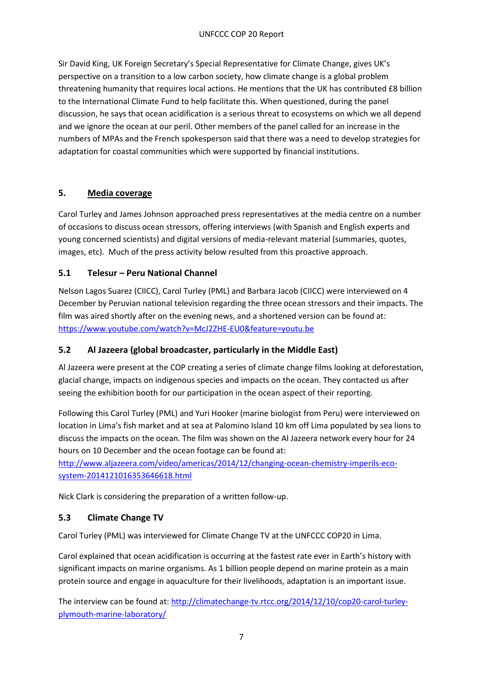Sir David King, UK Foreign Secretary's Special Representative for Climate Change, gives UK's perspective on a transition to a low carbon society, how climate change is a global problem threatening humanity that requires local actions. He mentions that the UK has contributed £8 billion to the International Climate Fund to help facilitate this. When questioned, during the panel discussion, he says that ocean acidification is a serious threat to ecosystems on which we all depend and we ignore the ocean at our peril. Other members of the panel called for an increase in the numbers of MPAs and the French spokesperson said that there was a need to develop strategies for adaptation for coastal communities which were supported by financial institutions.

### **5. Media coverage**

Carol Turley and James Johnson approached press representatives at the media centre on a number of occasions to discuss ocean stressors, offering interviews (with Spanish and English experts and young concerned scientists) and digital versions of media-relevant material (summaries, quotes, images, etc). Much of the press activity below resulted from this proactive approach.

### **5.1 Telesur – Peru National Channel**

Nelson Lagos Suarez (CIICC), Carol Turley (PML) and Barbara Jacob (CIICC) were interviewed on 4 December by Peruvian national television regarding the three ocean stressors and their impacts. The film was aired shortly after on the evening news, and a shortened version can be found at: <https://www.youtube.com/watch?v=McJ2ZHE-EU0&feature=youtu.be>

### **5.2 Al Jazeera (global broadcaster, particularly in the Middle East)**

Al Jazeera were present at the COP creating a series of climate change films looking at deforestation, glacial change, impacts on indigenous species and impacts on the ocean. They contacted us after seeing the exhibition booth for our participation in the ocean aspect of their reporting.

Following this Carol Turley (PML) and Yuri Hooker (marine biologist from Peru) were interviewed on location in Lima's fish market and at sea at Palomino Island 10 km off Lima populated by sea lions to discuss the impacts on the ocean. The film was shown on the Al Jazeera network every hour for 24 hours on 10 December and the ocean footage can be found at:

[http://www.aljazeera.com/video/americas/2014/12/changing-ocean-chemistry-imperils-eco](http://www.aljazeera.com/video/americas/2014/12/changing-ocean-chemistry-imperils-eco-system-2014121016353646618.html)[system-2014121016353646618.html](http://www.aljazeera.com/video/americas/2014/12/changing-ocean-chemistry-imperils-eco-system-2014121016353646618.html)

Nick Clark is considering the preparation of a written follow-up.

### **5.3 Climate Change TV**

Carol Turley (PML) was interviewed for Climate Change TV at the UNFCCC COP20 in Lima.

Carol explained that ocean acidification is occurring at the fastest rate ever in Earth's history with significant impacts on marine organisms. As 1 billion people depend on marine protein as a main protein source and engage in aquaculture for their livelihoods, adaptation is an important issue.

The interview can be found at: [http://climatechange-tv.rtcc.org/2014/12/10/cop20-carol-turley](http://climatechange-tv.rtcc.org/2014/12/10/cop20-carol-turley-plymouth-marine-laboratory/)[plymouth-marine-laboratory/](http://climatechange-tv.rtcc.org/2014/12/10/cop20-carol-turley-plymouth-marine-laboratory/)